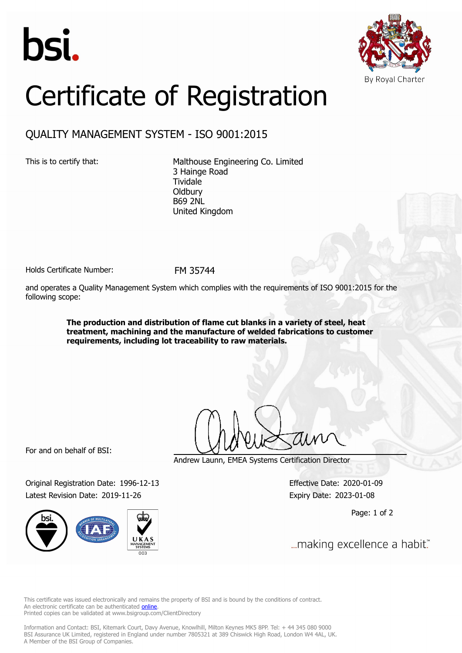



# Certificate of Registration

## QUALITY MANAGEMENT SYSTEM - ISO 9001:2015

This is to certify that: Malthouse Engineering Co. Limited 3 Hainge Road Tividale **Oldbury** B69 2NL United Kingdom

Holds Certificate Number: FM 35744

and operates a Quality Management System which complies with the requirements of ISO 9001:2015 for the following scope:

> **The production and distribution of flame cut blanks in a variety of steel, heat treatment, machining and the manufacture of welded fabrications to customer requirements, including lot traceability to raw materials.**

For and on behalf of BSI:

Original Registration Date: 1996-12-13 Effective Date: 2020-01-09 Latest Revision Date: 2019-11-26 Expiry Date: 2023-01-08



Andrew Launn, EMEA Systems Certification Director

Page: 1 of 2

... making excellence a habit."

This certificate was issued electronically and remains the property of BSI and is bound by the conditions of contract. An electronic certificate can be authenticated **[online](https://pgplus.bsigroup.com/CertificateValidation/CertificateValidator.aspx?CertificateNumber=FM+35744&ReIssueDate=26%2f11%2f2019&Template=uk)**. Printed copies can be validated at www.bsigroup.com/ClientDirectory

Information and Contact: BSI, Kitemark Court, Davy Avenue, Knowlhill, Milton Keynes MK5 8PP. Tel: + 44 345 080 9000 BSI Assurance UK Limited, registered in England under number 7805321 at 389 Chiswick High Road, London W4 4AL, UK. A Member of the BSI Group of Companies.